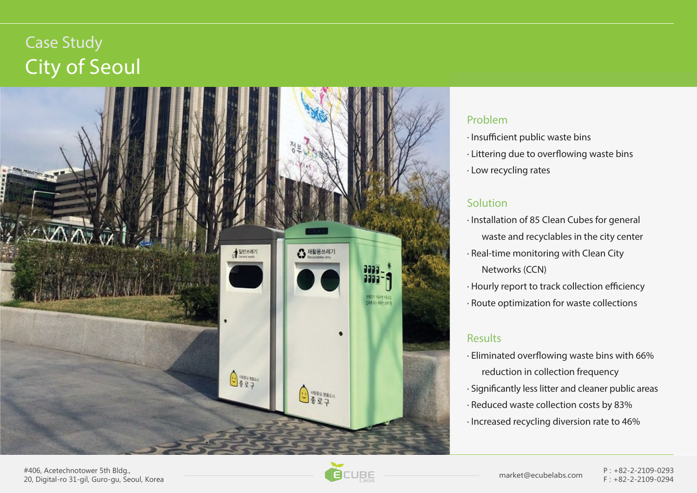# Case Study City of Seoul



#### **Problem**

- · Insufficient public waste bins
- · Littering due to overflowing waste bins
- · Low recycling rates

## **Solution**

- · Installation of 85 Clean Cubes for general waste and recyclables in the city center
- · Real-time monitoring with Clean City Networks (CCN)
- · Hourly report to track collection efficiency
- · Route optimization for waste collections

### **Results**

- $\cdot$  Eliminated overflowing waste bins with 66% reduction in collection frequency
- · Significantly less litter and cleaner public areas
- · Reduced waste collection costs by 83%
- · Increased recycling diversion rate to 46%